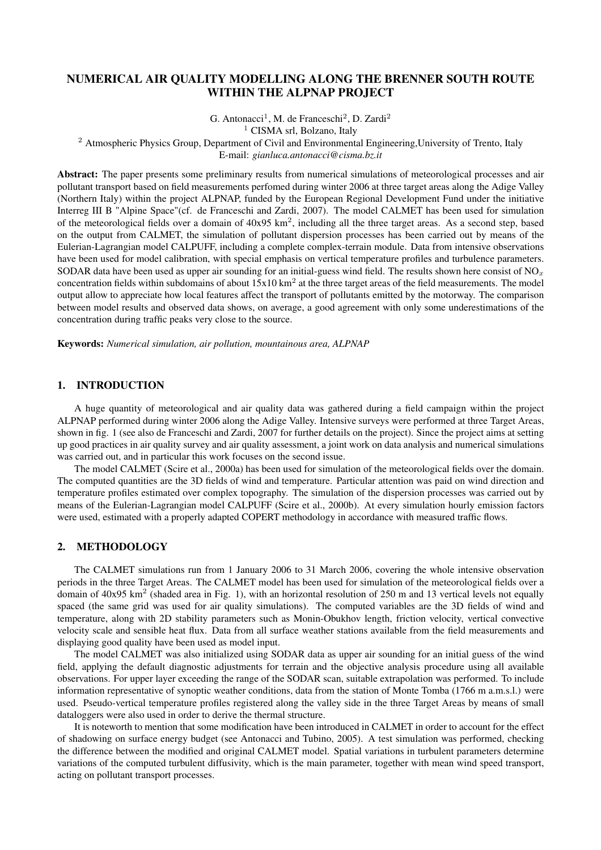# NUMERICAL AIR QUALITY MODELLING ALONG THE BRENNER SOUTH ROUTE WITHIN THE ALPNAP PROJECT

G. Antonacci<sup>1</sup>, M. de Franceschi<sup>2</sup>, D. Zardi<sup>2</sup>

<sup>1</sup> CISMA srl, Bolzano, Italy

<sup>2</sup> Atmospheric Physics Group, Department of Civil and Environmental Engineering, University of Trento, Italy

E-mail: *gianluca.antonacci@cisma.bz.it*

Abstract: The paper presents some preliminary results from numerical simulations of meteorological processes and air pollutant transport based on field measurements perfomed during winter 2006 at three target areas along the Adige Valley (Northern Italy) within the project ALPNAP, funded by the European Regional Development Fund under the initiative Interreg III B "Alpine Space"(cf. de Franceschi and Zardi, 2007). The model CALMET has been used for simulation of the meteorological fields over a domain of  $40x95 \text{ km}^2$ , including all the three target areas. As a second step, based on the output from CALMET, the simulation of pollutant dispersion processes has been carried out by means of the Eulerian-Lagrangian model CALPUFF, including a complete complex-terrain module. Data from intensive observations have been used for model calibration, with special emphasis on vertical temperature profiles and turbulence parameters. SODAR data have been used as upper air sounding for an initial-guess wind field. The results shown here consist of NO<sub>x</sub> concentration fields within subdomains of about  $15x10 \text{ km}^2$  at the three target areas of the field measurements. The model output allow to appreciate how local features affect the transport of pollutants emitted by the motorway. The comparison between model results and observed data shows, on average, a good agreement with only some underestimations of the concentration during traffic peaks very close to the source.

Keywords: *Numerical simulation, air pollution, mountainous area, ALPNAP*

# 1. INTRODUCTION

A huge quantity of meteorological and air quality data was gathered during a field campaign within the project ALPNAP performed during winter 2006 along the Adige Valley. Intensive surveys were performed at three Target Areas, shown in fig. 1 (see also de Franceschi and Zardi, 2007 for further details on the project). Since the project aims at setting up good practices in air quality survey and air quality assessment, a joint work on data analysis and numerical simulations was carried out, and in particular this work focuses on the second issue.

The model CALMET (Scire et al., 2000a) has been used for simulation of the meteorological fields over the domain. The computed quantities are the 3D fields of wind and temperature. Particular attention was paid on wind direction and temperature profiles estimated over complex topography. The simulation of the dispersion processes was carried out by means of the Eulerian-Lagrangian model CALPUFF (Scire et al., 2000b). At every simulation hourly emission factors were used, estimated with a properly adapted COPERT methodology in accordance with measured traffic flows.

## 2. METHODOLOGY

The CALMET simulations run from 1 January 2006 to 31 March 2006, covering the whole intensive observation periods in the three Target Areas. The CALMET model has been used for simulation of the meteorological fields over a domain of  $40x95 \text{ km}^2$  (shaded area in Fig. 1), with an horizontal resolution of 250 m and 13 vertical levels not equally spaced (the same grid was used for air quality simulations). The computed variables are the 3D fields of wind and temperature, along with 2D stability parameters such as Monin-Obukhov length, friction velocity, vertical convective velocity scale and sensible heat flux. Data from all surface weather stations available from the field measurements and displaying good quality have been used as model input.

The model CALMET was also initialized using SODAR data as upper air sounding for an initial guess of the wind field, applying the default diagnostic adjustments for terrain and the objective analysis procedure using all available observations. For upper layer exceeding the range of the SODAR scan, suitable extrapolation was performed. To include information representative of synoptic weather conditions, data from the station of Monte Tomba (1766 m a.m.s.l.) were used. Pseudo-vertical temperature profiles registered along the valley side in the three Target Areas by means of small dataloggers were also used in order to derive the thermal structure.

It is noteworth to mention that some modification have been introduced in CALMET in order to account for the effect of shadowing on surface energy budget (see Antonacci and Tubino, 2005). A test simulation was performed, checking the difference between the modified and original CALMET model. Spatial variations in turbulent parameters determine variations of the computed turbulent diffusivity, which is the main parameter, together with mean wind speed transport, acting on pollutant transport processes.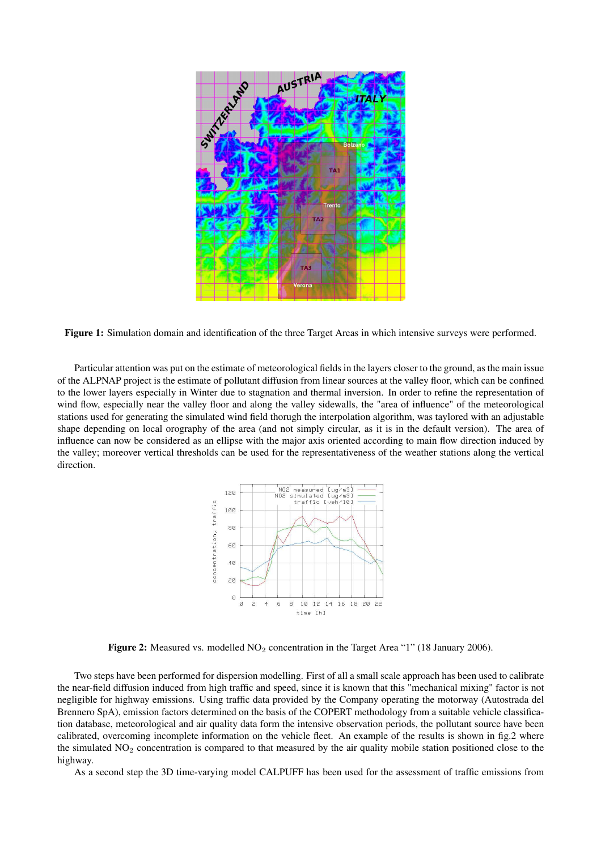

Figure 1: Simulation domain and identification of the three Target Areas in which intensive surveys were performed.

Particular attention was put on the estimate of meteorological fields in the layers closer to the ground, as the main issue of the ALPNAP project is the estimate of pollutant diffusion from linear sources at the valley floor, which can be confined to the lower layers especially in Winter due to stagnation and thermal inversion. In order to refine the representation of wind flow, especially near the valley floor and along the valley sidewalls, the "area of influence" of the meteorological stations used for generating the simulated wind field thorugh the interpolation algorithm, was taylored with an adjustable shape depending on local orography of the area (and not simply circular, as it is in the default version). The area of influence can now be considered as an ellipse with the major axis oriented according to main flow direction induced by the valley; moreover vertical thresholds can be used for the representativeness of the weather stations along the vertical direction.



Figure 2: Measured vs. modelled  $NO<sub>2</sub>$  concentration in the Target Area "1" (18 January 2006).

Two steps have been performed for dispersion modelling. First of all a small scale approach has been used to calibrate the near-field diffusion induced from high traffic and speed, since it is known that this "mechanical mixing" factor is not negligible for highway emissions. Using traffic data provided by the Company operating the motorway (Autostrada del Brennero SpA), emission factors determined on the basis of the COPERT methodology from a suitable vehicle classification database, meteorological and air quality data form the intensive observation periods, the pollutant source have been calibrated, overcoming incomplete information on the vehicle fleet. An example of the results is shown in fig.2 where the simulated  $NO<sub>2</sub>$  concentration is compared to that measured by the air quality mobile station positioned close to the highway.

As a second step the 3D time-varying model CALPUFF has been used for the assessment of traffic emissions from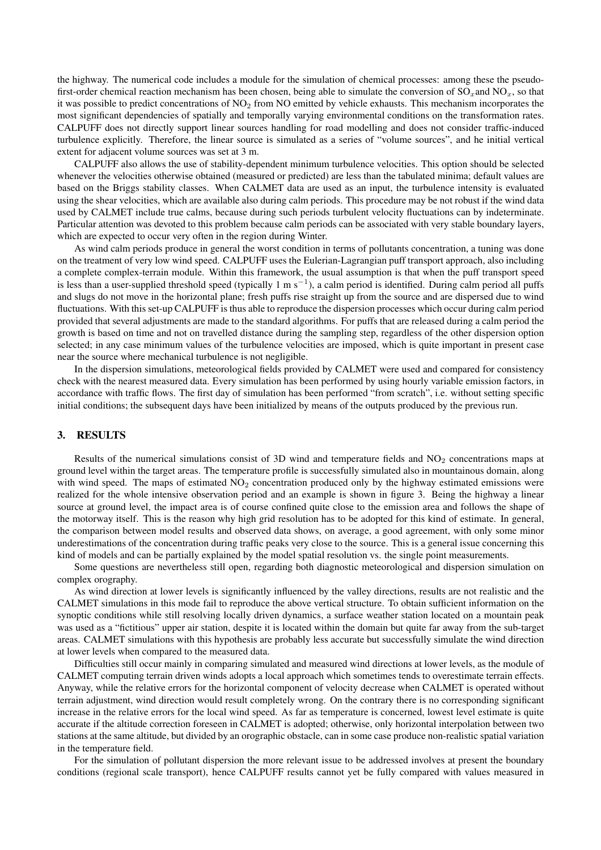the highway. The numerical code includes a module for the simulation of chemical processes: among these the pseudofirst-order chemical reaction mechanism has been chosen, being able to simulate the conversion of  $SO_x$  and  $NO_x$ , so that it was possible to predict concentrations of  $NO<sub>2</sub>$  from NO emitted by vehicle exhausts. This mechanism incorporates the most significant dependencies of spatially and temporally varying environmental conditions on the transformation rates. CALPUFF does not directly support linear sources handling for road modelling and does not consider traffic-induced turbulence explicitly. Therefore, the linear source is simulated as a series of "volume sources", and he initial vertical extent for adjacent volume sources was set at 3 m.

CALPUFF also allows the use of stability-dependent minimum turbulence velocities. This option should be selected whenever the velocities otherwise obtained (measured or predicted) are less than the tabulated minima; default values are based on the Briggs stability classes. When CALMET data are used as an input, the turbulence intensity is evaluated using the shear velocities, which are available also during calm periods. This procedure may be not robust if the wind data used by CALMET include true calms, because during such periods turbulent velocity fluctuations can by indeterminate. Particular attention was devoted to this problem because calm periods can be associated with very stable boundary layers, which are expected to occur very often in the region during Winter.

As wind calm periods produce in general the worst condition in terms of pollutants concentration, a tuning was done on the treatment of very low wind speed. CALPUFF uses the Eulerian-Lagrangian puff transport approach, also including a complete complex-terrain module. Within this framework, the usual assumption is that when the puff transport speed is less than a user-supplied threshold speed (typically 1 m s<sup>-1</sup>), a calm period is identified. During calm period all puffs and slugs do not move in the horizontal plane; fresh puffs rise straight up from the source and are dispersed due to wind fluctuations. With this set-up CALPUFF is thus able to reproduce the dispersion processes which occur during calm period provided that several adjustments are made to the standard algorithms. For puffs that are released during a calm period the growth is based on time and not on travelled distance during the sampling step, regardless of the other dispersion option selected; in any case minimum values of the turbulence velocities are imposed, which is quite important in present case near the source where mechanical turbulence is not negligible.

In the dispersion simulations, meteorological fields provided by CALMET were used and compared for consistency check with the nearest measured data. Every simulation has been performed by using hourly variable emission factors, in accordance with traffic flows. The first day of simulation has been performed "from scratch", i.e. without setting specific initial conditions; the subsequent days have been initialized by means of the outputs produced by the previous run.

# 3. RESULTS

Results of the numerical simulations consist of 3D wind and temperature fields and  $NO<sub>2</sub>$  concentrations maps at ground level within the target areas. The temperature profile is successfully simulated also in mountainous domain, along with wind speed. The maps of estimated  $NO<sub>2</sub>$  concentration produced only by the highway estimated emissions were realized for the whole intensive observation period and an example is shown in figure 3. Being the highway a linear source at ground level, the impact area is of course confined quite close to the emission area and follows the shape of the motorway itself. This is the reason why high grid resolution has to be adopted for this kind of estimate. In general, the comparison between model results and observed data shows, on average, a good agreement, with only some minor underestimations of the concentration during traffic peaks very close to the source. This is a general issue concerning this kind of models and can be partially explained by the model spatial resolution vs. the single point measurements.

Some questions are nevertheless still open, regarding both diagnostic meteorological and dispersion simulation on complex orography.

As wind direction at lower levels is significantly influenced by the valley directions, results are not realistic and the CALMET simulations in this mode fail to reproduce the above vertical structure. To obtain sufficient information on the synoptic conditions while still resolving locally driven dynamics, a surface weather station located on a mountain peak was used as a "fictitious" upper air station, despite it is located within the domain but quite far away from the sub-target areas. CALMET simulations with this hypothesis are probably less accurate but successfully simulate the wind direction at lower levels when compared to the measured data.

Difficulties still occur mainly in comparing simulated and measured wind directions at lower levels, as the module of CALMET computing terrain driven winds adopts a local approach which sometimes tends to overestimate terrain effects. Anyway, while the relative errors for the horizontal component of velocity decrease when CALMET is operated without terrain adjustment, wind direction would result completely wrong. On the contrary there is no corresponding significant increase in the relative errors for the local wind speed. As far as temperature is concerned, lowest level estimate is quite accurate if the altitude correction foreseen in CALMET is adopted; otherwise, only horizontal interpolation between two stations at the same altitude, but divided by an orographic obstacle, can in some case produce non-realistic spatial variation in the temperature field.

For the simulation of pollutant dispersion the more relevant issue to be addressed involves at present the boundary conditions (regional scale transport), hence CALPUFF results cannot yet be fully compared with values measured in